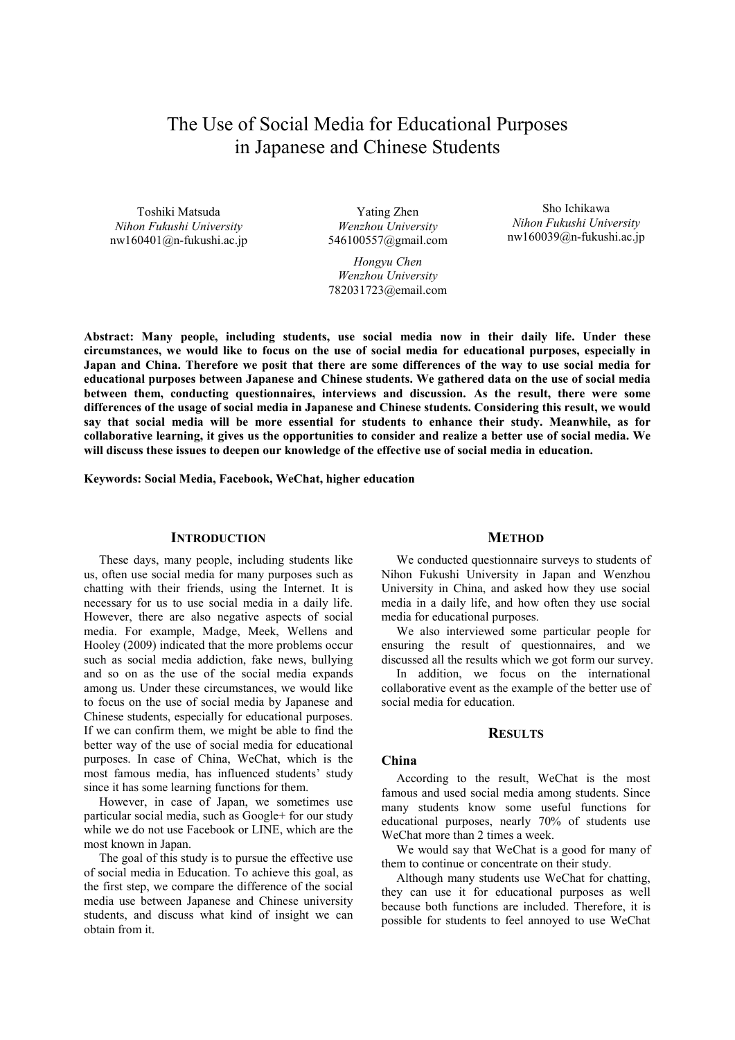# The Use of Social Media for Educational Purposes in Japanese and Chinese Students

Toshiki Matsuda *Nihon Fukushi University* nw160401@n-fukushi.ac.jp

Yating Zhen *Wenzhou University* 546100557@gmail.com

*Hongyu Chen Wenzhou University*  782031723@email.com

Sho Ichikawa *Nihon Fukushi University* nw160039@n-fukushi.ac.jp

**Abstract: Many people, including students, use social media now in their daily life. Under these circumstances, we would like to focus on the use of social media for educational purposes, especially in Japan and China. Therefore we posit that there are some differences of the way to use social media for educational purposes between Japanese and Chinese students. We gathered data on the use of social media between them, conducting questionnaires, interviews and discussion. As the result, there were some differences of the usage of social media in Japanese and Chinese students. Considering this result, we would say that social media will be more essential for students to enhance their study. Meanwhile, as for collaborative learning, it gives us the opportunities to consider and realize a better use of social media. We will discuss these issues to deepen our knowledge of the effective use of social media in education.** 

**Keywords: Social Media, Facebook, WeChat, higher education**

# **INTRODUCTION**

These days, many people, including students like us, often use social media for many purposes such as chatting with their friends, using the Internet. It is necessary for us to use social media in a daily life. However, there are also negative aspects of social media. For example, Madge, Meek, Wellens and Hooley (2009) indicated that the more problems occur such as social media addiction, fake news, bullying and so on as the use of the social media expands among us. Under these circumstances, we would like to focus on the use of social media by Japanese and Chinese students, especially for educational purposes. If we can confirm them, we might be able to find the better way of the use of social media for educational purposes. In case of China, WeChat, which is the most famous media, has influenced students' study since it has some learning functions for them.

However, in case of Japan, we sometimes use particular social media, such as Google+ for our study while we do not use Facebook or LINE, which are the most known in Japan.

The goal of this study is to pursue the effective use of social media in Education. To achieve this goal, as the first step, we compare the difference of the social media use between Japanese and Chinese university students, and discuss what kind of insight we can obtain from it.

#### **METHOD**

We conducted questionnaire surveys to students of Nihon Fukushi University in Japan and Wenzhou University in China, and asked how they use social media in a daily life, and how often they use social media for educational purposes.

We also interviewed some particular people for ensuring the result of questionnaires, and we discussed all the results which we got form our survey.

In addition, we focus on the international collaborative event as the example of the better use of social media for education.

#### **RESULTS**

### **China**

According to the result, WeChat is the most famous and used social media among students. Since many students know some useful functions for educational purposes, nearly 70% of students use WeChat more than 2 times a week.

We would say that WeChat is a good for many of them to continue or concentrate on their study.

Although many students use WeChat for chatting, they can use it for educational purposes as well because both functions are included. Therefore, it is possible for students to feel annoyed to use WeChat